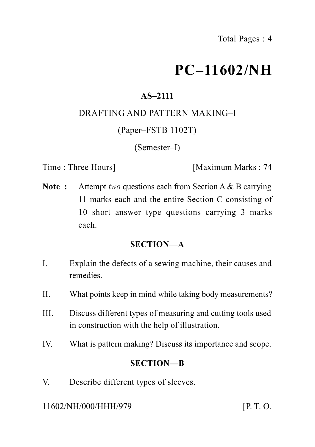# **PC–11602/NH**

### **AS–2111**

### DRAFTING AND PATTERN MAKING–I

### (Paper–FSTB 1102T)

### (Semester–I)

Time : Three Hours] [Maximum Marks : 74

**Note :** Attempt *two* questions each from Section A & B carrying 11 marks each and the entire Section C consisting of 10 short answer type questions carrying 3 marks each.

### **SECTION—A**

- I. Explain the defects of a sewing machine, their causes and remedies.
- II. What points keep in mind while taking body measurements?
- III. Discuss different types of measuring and cutting tools used in construction with the help of illustration.
- IV. What is pattern making? Discuss its importance and scope.

### **SECTION—B**

V. Describe different types of sleeves.

11602/NH/000/HHH/979 [P. T. O.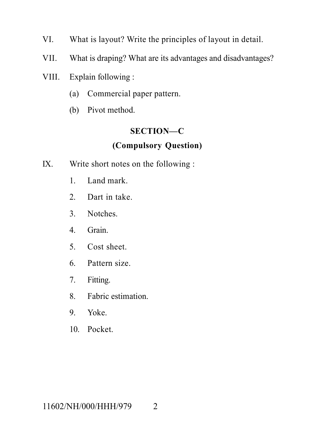- VI. What is layout? Write the principles of layout in detail.
- VII. What is draping? What are its advantages and disadvantages?
- VIII. Explain following :
	- (a) Commercial paper pattern.
	- (b) Pivot method.

# **SECTION—C**

### **(Compulsory Question)**

- IX. Write short notes on the following :
	- 1. Land mark.
	- 2. Dart in take.
	- 3. Notches.
	- 4. Grain.
	- 5. Cost sheet.
	- 6. Pattern size.
	- 7. Fitting.
	- 8. Fabric estimation.
	- 9. Yoke.
	- 10. Pocket.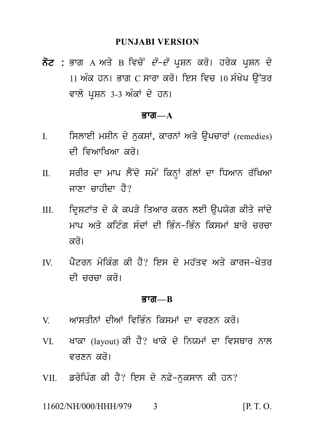PUNJABI VERSION<br>ਨੋਟ : ਭਾਗ A ਅਤੇ B ਵਿਚੋਂ *ਦੋ–ਦੋ* ਪ੍ਰਸ਼ਨ ਕਰੋ। ਹਰੇਕ ਪ੍ਰਸ਼ਨ ਦੇ<br>11 ਅੰਕ ਹਨ। ਭਾਗ C ਸਾਰਾ ਕਰੋ। ਇਸ ਵਿਚ 10 ਸੰਖੇਪ ਉੱਤਰ<br>ਵਾਲੇ ਮਾਸਨ 3.3 ਅੰਕਾਂ ਦੇ ਹਨ। PUNJABI VERSION<br>ਭਾਗ A ਅਤੇ B ਵਿਚੋਂ *ਦੋ–ਦੋ* ਪ੍ਰਸ਼ਨ ਕਰੋ। ਹਰੇਕ ਪ੍ਰਸ਼ਨ ਦੇ<br>11 ਅੰਕ ਹਨ। ਭਾਗ C ਸਾਰਾ ਕਰੋ। ਇਸ ਵਿਚ 10 ਸੰਖੇਪ ਉੱਤਰ<br>ਵਾਲੇ ਪ੍ਰਸ਼ਨ 3-3 ਅੰਕਾਂ ਦੇ ਹਨ। **ਨੋਟ :** ਭਾਗ A ਅਤੇ B ਵਿਚੋਂ *ਦੋ–ਦੋ* ਪ੍ਰਸ਼ਨ ਕਰੋ। ਹਰੇਕ ਪ੍ਰਸ਼ਨ ਦੇ<br>11 ਅੰਕ ਹਨ। ਭਾਗ C ਸਾਰਾ ਕਰੋ। ਇਸ ਵਿਚ 10 ਸੰਖੇਪ ਉੱਤਰ<br>ਵਾਲੇ ਪਸ਼ਨ 3-3 ਅੰਕਾਂ ਦੇ ਹਨ।

#### $\overline{g}$ गता— $\overline{A}$

- ਵਾਲੇ ਪ੍ਰਸ਼ਨ 3-3 ਅੰਕਾਂ ਦੇ ਹਨ।<br>**ਭਾਗ—A**<br>I. ਸਿਲਾਈ ਮਸ਼ੀਨ ਦੇ ਨੁਕਸਾਂ, ਕਾਰਨਾਂ ਅਤੇ ਉਪਚਾਰਾਂ (remedies)<br>ਦੀ ਵਿਆਖਿਆ ਕਰੋ। ਸਿਲਾਈ ਮਸ਼ੀਨ ਦੇ ਨੁਕਸਾਂ, ਕਾਰਨਾਂ ਅਤੇ ਉਪਚਾਰਾਂ (remedies)<br>ਦੀ ਵਿਆਖਿਆ ਕਰੋ।<br>ਸਰੀਰ ਦਾ ਮਾਪ ਲੈਂਦੇ ਸਮੇਂ ਕਿਨ੍ਹਾਂ ਗੱਲਾਂ ਦਾ ਧਿਆਨ ਰੱਖਿਆ<br>ਜਾਣਾ ਜਾਹੀਦਾ ਹੈ?
- II. srIr dw mwp l YNd y sm yN ikn HW g `lW dw iDAwn r `iKAw ਦੀ ਵਿਆਖਿਆ ਕਰੋ।<br>ਸਰੀਰ ਦਾ ਮਾਪ ਲੈਂਦੇ ਸਮੇਂ ਕਿਨ੍ਹਾਂ ਗੱਲਾਂ ਜ<br>ਜਾਣਾ ਚਾਹੀਦਾ ਹੈ?<br>ਦ੍ਰਿਸ਼ਟਾਂਤ ਦੇ ਕੇ ਕਪੜੇ ਤਿਆਰ ਕਰਨ ਲਈ
- II. ਸਰੀਰ ਦਾ ਮਾਪ ਲੈਂਦੇ ਸਮੇਂ ਕਿਨ੍ਹਾਂ ਗੱਲਾਂ ਦਾ ਧਿਆਨ ਰੱਖਿਆ<br> ਜਾਣਾ ਚਾਹੀਦਾ ਹੈ?<br>III. ਦ੍ਰਿਸ਼ਟਾਂਤ ਦੇ ਕੇ ਕਪੜੇ ਤਿਆਰ ਕਰਨ ਲਈ ਉਪਯੋਗ ਕੀਤੇ ਜਾਂਦੇ<br> ਮਾਪ ਅਤੇ ਕਟਿੰਗ ਸੰਦਾਂ ਦੀ ਭਿੰਨ-ਭਿੰਨ ਕਿਸਮਾਂ ਬਾਰੇ ਚਰਚਾ<br>ਕਰੋ। ਜਾਣਾ ਚਾਹੀਦਾ ਹੈ?<br>ਦ੍ਰਿਸ਼ਟਾਂਤ ਦੇ ਕੇ ਕਪੜੇ ਤਿਆਰ ਕਰਨ ਲਈ ਉਪਯੋਗ ਕੀਤੇ ਜਾਂਦੇ<br>ਮਾਪ ਅਤੇ ਕਟਿੰਗ ਸੰਦਾਂ ਦੀ ਭਿੰਨ-ਭਿੰਨ ਕਿਸਮਾਂ ਬਾਰੇ ਚਰਚਾ<br>ਕਰੋ। ਦ੍ਰਿਸ਼ਟਾਂਤ ਦੇ ਕੇ ਕਪੜੇ ਤਿਆ<br>ਮਾਪ ਅਤੇ ਕਟਿੰਗ ਸੰਦਾਂ ਦੀ<br>ਕਰੋ।<br>ਪੈਟਰਨ ਮੇਕਿੰਗ ਕੀ ਹੈ? ਇ ਸਾਪ ਅਤੇ ਕਟਿੰਗ ਸੰਦਾਂ ਦੀ ਭਿੰਨ-ਭਿੰਨ ਕਿਸਮਾਂ ਬਾਰੇ ਚਰਚਾ<br>ਕਰੋ।<br>IV. ਪੈਟਰਨ ਮੇਕਿੰਗ ਕੀ ਹੈ? ਇਸ ਦੇ ਮਹੱਤਵ ਅਤੇ ਕਾਰਜ-ਖੇਤਰ<br>ਦੀ ਚਰਚਾ ਕਰੋ।
- ਕਰੋ।<br>ਪੈਟਰਨ ਮੇਕਿੰਗ ਕੀ ਹੈ? ਇਸ ਦੇ ਮਹੱਤਵ ਅਤੇ ਕਾਰਜ-ਖੇਤਰ<br>ਦੀ ਜ਼ਰਜਾ ਕਰੋ।

#### <u>ਭਾਗ—B</u>

- 
- ਦੀ ਚਰਚਾ ਕਰੋ।<br>ਭਾਗ—B<br>V. ਅਾਸਤੀਨਾਂ ਦੀਆਂ ਵਿਭਿੰਨ ਕਿਸਮਾਂ ਦਾ ਵਰਣਨ ਕਰੋ।<br>VI. ਖਾਕਾ (layout) ਕੀ ਹੈ? ਖਾਕੇ ਦੇ ਨਿਯਮਾਂ ਦਾ ਵਿਸਥਾਰ ਨਾਲ **ਭਾਗ—B<br>Vi. ਅਾਸਤੀਨਾਂ** ਦੀਆਂ ਵਿਭਿੰਨ ਕਿਸਮਾਂ ਦਾ ਵਰਣਨ ਕਰੋ।<br>VI. ਖਾਕਾ (layout) ਕੀ ਹੈ? ਖਾਕੇ ਦੇ ਨਿਯਮਾਂ ਦਾ ਵਿਸਥਾਰ ਨਾਲ<br>ਵਰਣਨ ਕਰੋ। v. ਅਾਸਤੀਨਾਂ ਦੀਆਂ ਵਿਭਿੰਨ ਕਿਸਮਾਂ ਦਾ ਵਰਣਨ ਕਰੋ।<br>VI. ਖਾਕਾ (layout) ਕੀ ਹੈ? ਖਾਕੇ ਦੇ ਨਿਯਮਾਂ ਦਾ ਵਿਸਥਾਰ ਨਾਲ<br>ਵਰਣਨ ਕਰੋ।<br>VII. ਡਰੇਪਿੰਗ ਕੀ ਹੈ? ਇਸ ਦੇ ਨਫ਼ੇ-ਨਕਸਾਨ ਕੀ ਹਨ? VI. ਖਾਕਾ (layout) ਕੀ ਹੈ? ਖਾਕੇ ਦੇ ਨਿਯਮਾਂ ਦਾ ਵਿਸਥਾਰ ਨਾਲ<br>ਵਰਣਨ ਕਰੋ।<br>VII. ਡਰੇਪਿੰਗ ਕੀ ਹੈ? ਇਸ ਦੇ ਨਫ਼ੇ-ਨੁਕਸਾਨ ਕੀ ਹਨ?<br>11602/NH/000/HHH/979 3 [P.T.O.
- 

11602/NH/000/HHH/979 3 [P. T. O.